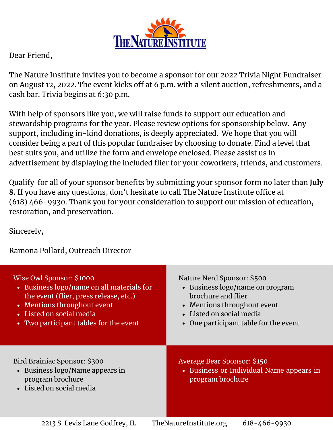

Dear Friend,

The Nature Institute invites you to become a sponsor for our 2022 Trivia Night Fundraiser on August 12, 2022. The event kicks off at 6 p.m. with a silent auction, refreshments, and a cash bar. Trivia begins at 6:30 p.m.

With help of sponsors like you, we will raise funds to support our education and stewardship programs for the year. Please review options for sponsorship below. Any support, including in-kind donations, is deeply appreciated. We hope that you will consider being a part of this popular fundraiser by choosing to donate. Find a level that best suits you, and utilize the form and envelope enclosed. Please assist us in advertisement by displaying the included flier for your coworkers, friends, and customers.

Qualify for all of your sponsor benefits by submitting your sponsor form no later than **July 8.** If you have any questions, don't hesitate to call The Nature Institute office at (618) 466-9930. Thank you for your consideration to support our mission of education, restoration, and preservation.

Sincerely,

Ramona Pollard, Outreach Director

| Wise Owl Sponsor: \$1000                                                                                        | Nature Nerd Sponsor: \$500                                                                         |
|-----------------------------------------------------------------------------------------------------------------|----------------------------------------------------------------------------------------------------|
| • Business logo/name on all materials for                                                                       | • Business logo/name on program                                                                    |
| the event (flier, press release, etc.)                                                                          | brochure and flier                                                                                 |
| • Mentions throughout event                                                                                     | • Mentions throughout event                                                                        |
| • Listed on social media                                                                                        | • Listed on social media                                                                           |
| • Two participant tables for the event                                                                          | • One participant table for the event                                                              |
| Bird Brainiac Sponsor: \$300<br>• Business logo/Name appears in<br>program brochure<br>• Listed on social media | <b>Average Bear Sponsor: \$150</b><br>• Business or Individual Name appears in<br>program brochure |